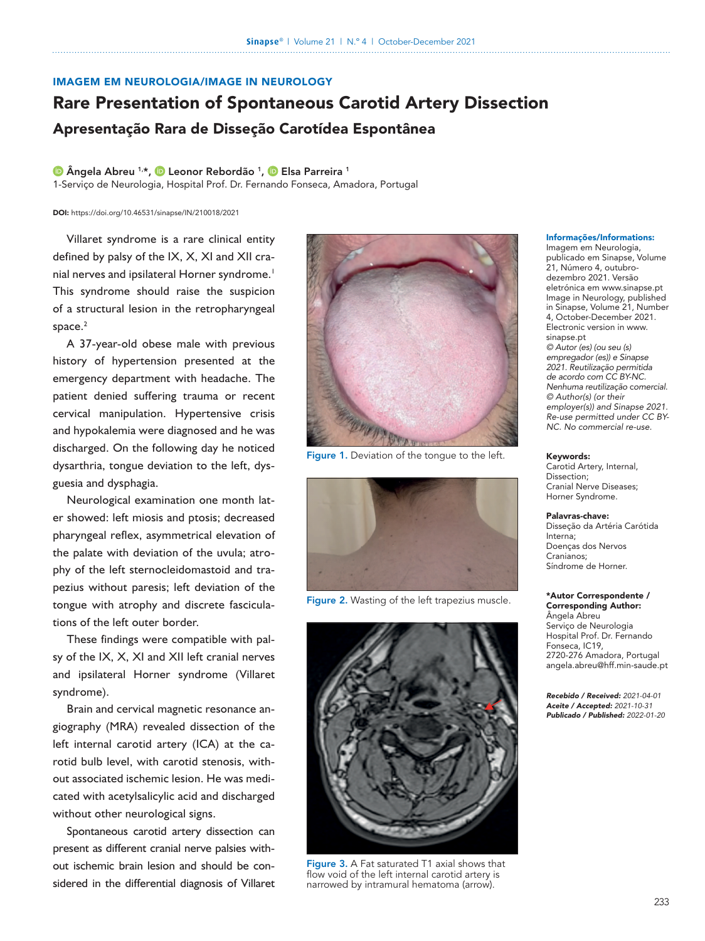### IMAGEM EM NEUROLOGIA/IMAGE IN NEUROLOGY

# Rare Presentation of Spontaneous Carotid Artery Dissection Apresentação Rara de Disseção Carotídea Espontânea

**D** [Ângela Abreu](https://orcid.org/0000-0002-1832-4463) <sup>1,\*</sup>, **D** [Leonor Rebordão](https://orcid.org/0000-0003-1413-0343) <sup>1</sup>, D [Elsa Parreira](https://orcid.org/0000-0002-3845-6447) <sup>1</sup> 1-Serviço de Neurologia, Hospital Prof. Dr. Fernando Fonseca, Amadora, Portugal

DOI: <https://doi.org/10.46531/sinapse/IN/210018/2021>

Villaret syndrome is a rare clinical entity defined by palsy of the IX, X, XI and XII cranial nerves and ipsilateral Horner syndrome.<sup>1</sup> This syndrome should raise the suspicion of a structural lesion in the retropharyngeal space.<sup>2</sup>

A 37-year-old obese male with previous history of hypertension presented at the emergency department with headache. The patient denied suffering trauma or recent cervical manipulation. Hypertensive crisis and hypokalemia were diagnosed and he was discharged. On the following day he noticed dysarthria, tongue deviation to the left, dysguesia and dysphagia.

Neurological examination one month later showed: left miosis and ptosis; decreased pharyngeal reflex, asymmetrical elevation of the palate with deviation of the uvula; atrophy of the left sternocleidomastoid and trapezius without paresis; left deviation of the tongue with atrophy and discrete fasciculations of the left outer border.

These findings were compatible with palsy of the IX, X, XI and XII left cranial nerves and ipsilateral Horner syndrome (Villaret syndrome).

Brain and cervical magnetic resonance angiography (MRA) revealed dissection of the left internal carotid artery (ICA) at the carotid bulb level, with carotid stenosis, without associated ischemic lesion. He was medicated with acetylsalicylic acid and discharged without other neurological signs.

Spontaneous carotid artery dissection can present as different cranial nerve palsies without ischemic brain lesion and should be considered in the differential diagnosis of Villaret



Figure 1. Deviation of the tongue to the left.



Figure 2. Wasting of the left trapezius muscle.



Figure 3. A Fat saturated T1 axial shows that flow void of the left internal carotid artery is narrowed by intramural hematoma (arrow).

#### Informações/Informations:

Imagem em Neurologia, publicado em Sinapse, Volume 21, Número 4, outubrodezembro 2021. Versão eletrónica em www.sinapse.pt Image in Neurology, published in Sinapse, Volume 21, Number 4, October-December 2021. Electronic version in www. sinapse.pt *© Autor (es) (ou seu (s) empregador (es)) e Sinapse 2021. Reutilização permitida de acordo com CC BY-NC. Nenhuma reutilização* c*omercial. © Author(s) (or their employer(s)) and Sinapse 2021. Re-use permitted under CC BY-NC. No commercial re-use.*

#### Keywords:

Carotid Artery, Internal, Dissection; Cranial Nerve Diseases; Horner Syndrome.

Palavras-chave:

Disseção da Artéria Carótida Interna; Doenças dos Nervos Cranianos; Síndrome de Horner.

## \*Autor Correspondente /

Corresponding Author: Ângela Abreu Serviço de Neurologia Hospital Prof. Dr. Fernando Fonseca, IC19, 2720-276 Amadora, Portugal angela.abreu@hff.min-saude.pt

*Recebido / Received: 2021-04-01 Aceite / Accepted: 2021-10-31 Publicado / Published: 2022-01-20*